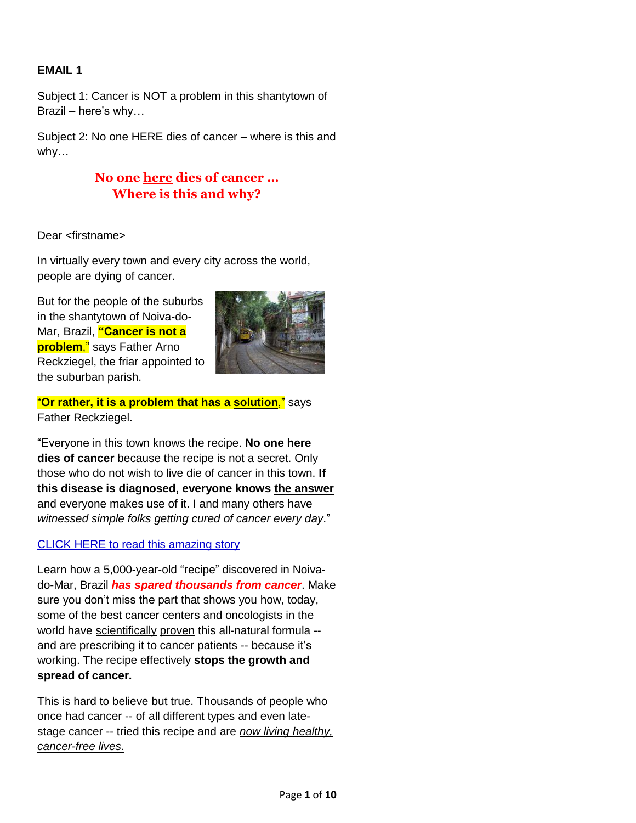## **EMAIL 1**

Subject 1: Cancer is NOT a problem in this shantytown of Brazil – here's why…

Subject 2: No one HERE dies of cancer – where is this and why…

# **No one here dies of cancer … Where is this and why?**

Dear <firstname>

In virtually every town and every city across the world, people are dying of cancer.

But for the people of the suburbs in the shantytown of Noiva-do-Mar, Brazil, **"Cancer is not a problem**," says Father Arno Reckziegel, the friar appointed to the suburban parish.



"**Or rather, it is a problem that has a solution**," says Father Reckziegel.

"Everyone in this town knows the recipe. **No one here dies of cancer** because the recipe is not a secret. Only those who do not wish to live die of cancer in this town. **If this disease is diagnosed, everyone knows the answer** and everyone makes use of it. I and many others have *witnessed simple folks getting cured of cancer every day*."

## CLICK HERE to read this amazing story

Learn how a 5,000-year-old "recipe" discovered in Noivado-Mar, Brazil *has spared thousands from cancer*. Make sure you don't miss the part that shows you how, today, some of the best cancer centers and oncologists in the world have scientifically proven this all-natural formula - and are prescribing it to cancer patients -- because it's working. The recipe effectively **stops the growth and spread of cancer.** 

This is hard to believe but true. Thousands of people who once had cancer -- of all different types and even latestage cancer -- tried this recipe and are *now living healthy, cancer-free lives*.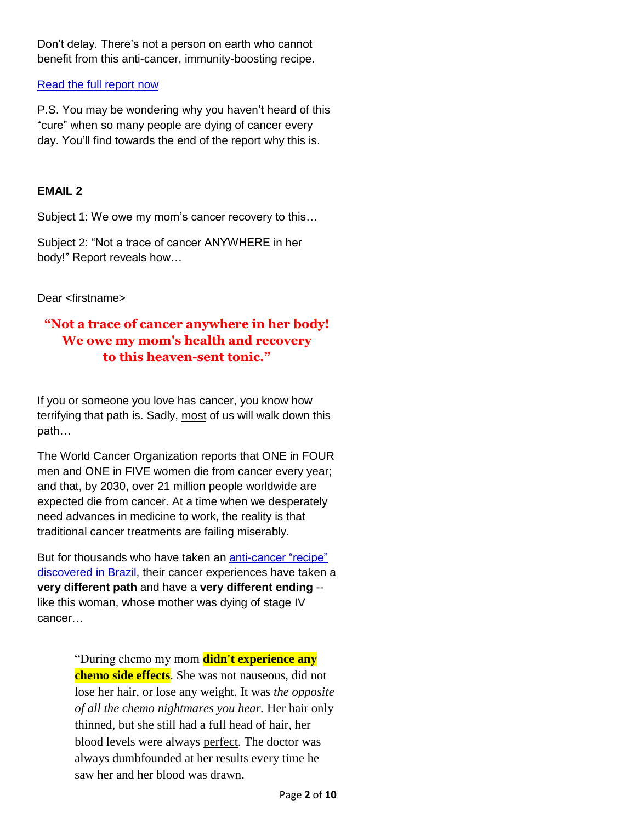Don't delay. There's not a person on earth who cannot benefit from this anti-cancer, immunity-boosting recipe.

#### Read the full report now

P.S. You may be wondering why you haven't heard of this "cure" when so many people are dying of cancer every day. You'll find towards the end of the report why this is.

### **EMAIL 2**

Subject 1: We owe my mom's cancer recovery to this…

Subject 2: "Not a trace of cancer ANYWHERE in her body!" Report reveals how…

Dear <firstname>

# **"Not a trace of cancer anywhere in her body! We owe my mom's health and recovery to this heaven-sent tonic."**

If you or someone you love has cancer, you know how terrifying that path is. Sadly, most of us will walk down this path…

The World Cancer Organization reports that ONE in FOUR men and ONE in FIVE women die from cancer every year; and that, by 2030, over 21 million people worldwide are expected die from cancer. At a time when we desperately need advances in medicine to work, the reality is that traditional cancer treatments are failing miserably.

But for thousands who have taken an anti-cancer "recipe" discovered in Brazil, their cancer experiences have taken a **very different path** and have a **very different ending** - like this woman, whose mother was dying of stage IV cancer…

> "During chemo my mom **didn't experience any chemo side effects**. She was not nauseous, did not lose her hair, or lose any weight. It was *the opposite of all the chemo nightmares you hear.* Her hair only thinned, but she still had a full head of hair, her blood levels were always perfect. The doctor was always dumbfounded at her results every time he saw her and her blood was drawn.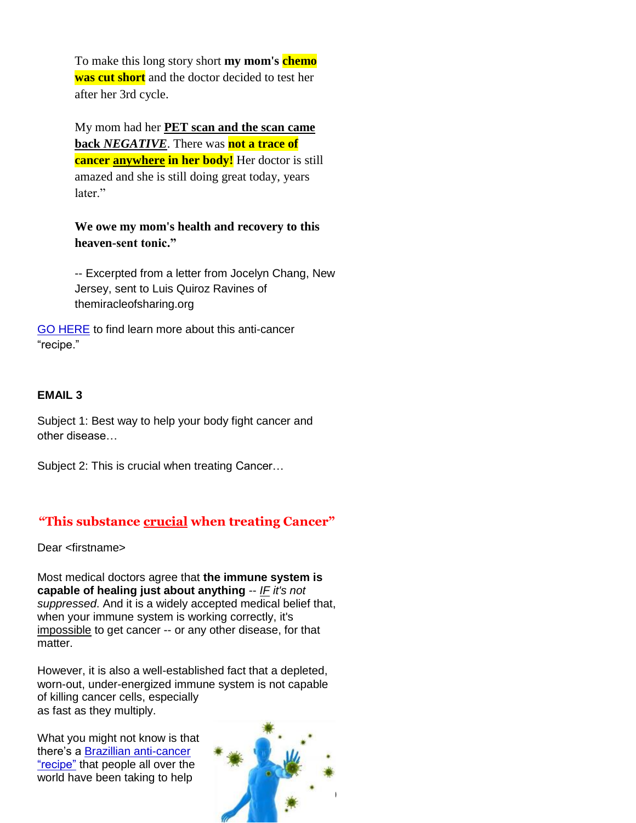To make this long story short **my mom's chemo was cut short** and the doctor decided to test her after her 3rd cycle.

My mom had her **PET scan and the scan came back** *NEGATIVE*. There was **not a trace of cancer anywhere in her body!** Her doctor is still amazed and she is still doing great today, years later<sup>"</sup>

**We owe my mom's health and recovery to this heaven-sent tonic."**

-- Excerpted from a letter from Jocelyn Chang, New Jersey, sent to Luis Quiroz Ravines of themiracleofsharing.org

GO HERE to find learn more about this anti-cancer "recipe."

### **EMAIL 3**

Subject 1: Best way to help your body fight cancer and other disease…

Subject 2: This is crucial when treating Cancer…

# **"This substance crucial when treating Cancer"**

Dear <firstname>

Most medical doctors agree that **the immune system is capable of healing just about anything** -- *IF it's not suppressed*. And it is a widely accepted medical belief that, when your immune system is working correctly, it's impossible to get cancer -- or any other disease, for that matter.

However, it is also a well-established fact that a depleted, worn-out, under-energized immune system is not capable of killing cancer cells, especially as fast as they multiply.

What you might not know is that there's a Brazillian anti-cancer "recipe" that people all over the world have been taking to help

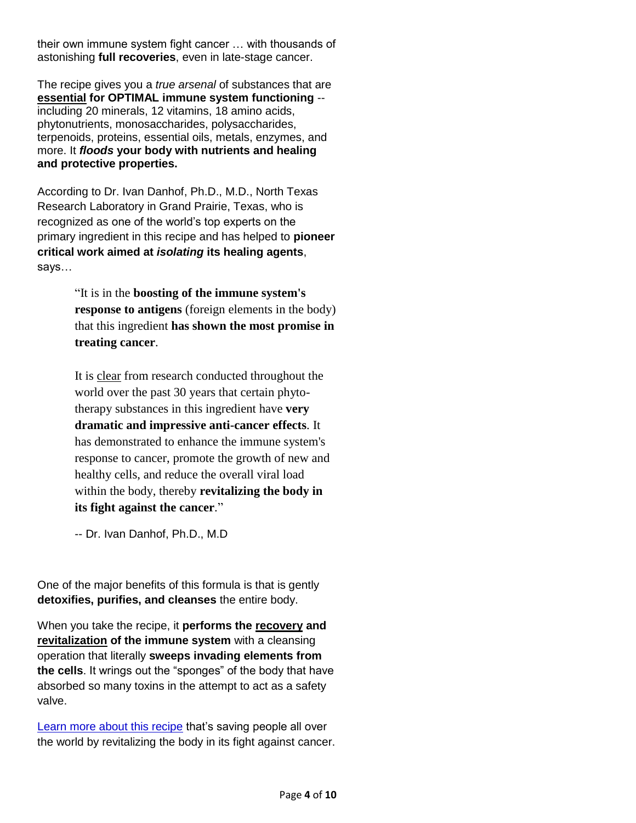their own immune system fight cancer … with thousands of astonishing **full recoveries**, even in late-stage cancer.

The recipe gives you a *true arsenal* of substances that are **essential for OPTIMAL immune system functioning** - including 20 minerals, 12 vitamins, 18 amino acids, phytonutrients, monosaccharides, polysaccharides, terpenoids, proteins, essential oils, metals, enzymes, and more. It *floods* **your body with nutrients and healing and protective properties.**

According to Dr. Ivan Danhof, Ph.D., M.D., North Texas Research Laboratory in Grand Prairie, Texas, who is recognized as one of the world's top experts on the primary ingredient in this recipe and has helped to **pioneer critical work aimed at** *isolating* **its healing agents**, says…

> "It is in the **boosting of the immune system's response to antigens** (foreign elements in the body) that this ingredient **has shown the most promise in treating cancer**.

It is clear from research conducted throughout the world over the past 30 years that certain phytotherapy substances in this ingredient have **very dramatic and impressive anti-cancer effects**. It has demonstrated to enhance the immune system's response to cancer, promote the growth of new and healthy cells, and reduce the overall viral load within the body, thereby **revitalizing the body in its fight against the cancer**."

-- Dr. Ivan Danhof, Ph.D., M.D

One of the major benefits of this formula is that is gently **detoxifies, purifies, and cleanses** the entire body.

When you take the recipe, it **performs the recovery and revitalization of the immune system** with a cleansing operation that literally **sweeps invading elements from the cells**. It wrings out the "sponges" of the body that have absorbed so many toxins in the attempt to act as a safety valve.

Learn more about this recipe that's saving people all over the world by revitalizing the body in its fight against cancer.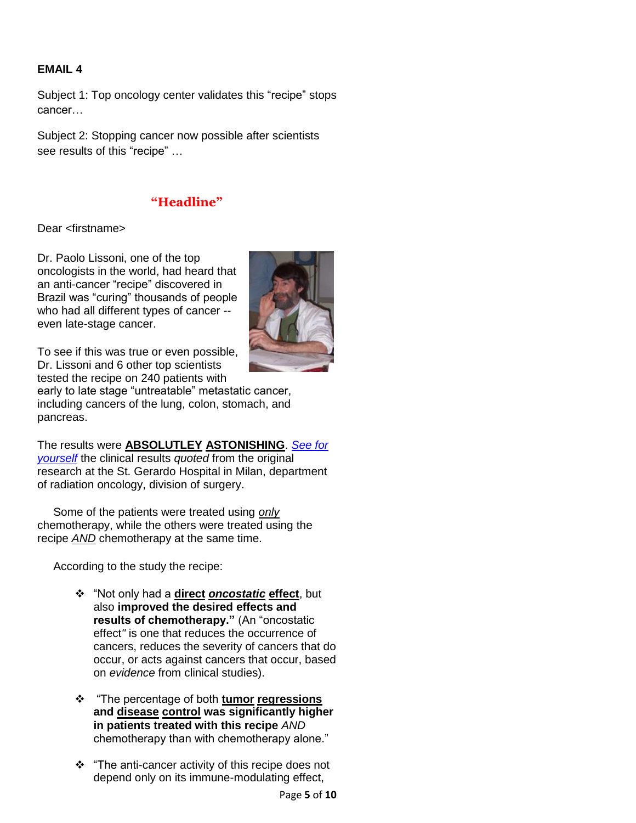## **EMAIL 4**

Subject 1: Top oncology center validates this "recipe" stops cancer…

Subject 2: Stopping cancer now possible after scientists see results of this "recipe" …

# **"Headline"**

Dear <firstname>

Dr. Paolo Lissoni, one of the top oncologists in the world, had heard that an anti-cancer "recipe" discovered in Brazil was "curing" thousands of people who had all different types of cancer - even late-stage cancer.



To see if this was true or even possible, Dr. Lissoni and 6 other top scientists tested the recipe on 240 patients with

early to late stage "untreatable" metastatic cancer, including cancers of the lung, colon, stomach, and pancreas.

The results were **ABSOLUTLEY ASTONISHING**. *See for yourself* the clinical results *quoted* from the original research at the St. Gerardo Hospital in Milan, department of radiation oncology, division of surgery.

 Some of the patients were treated using *only* chemotherapy, while the others were treated using the recipe *AND* chemotherapy at the same time.

According to the study the recipe:

- "Not only had a **direct** *oncostatic* **effect**, but also **improved the desired effects and results of chemotherapy."** (An "oncostatic effect*"* is one that reduces the occurrence of cancers, reduces the severity of cancers that do occur, or acts against cancers that occur, based on *evidence* from clinical studies).
- "The percentage of both **tumor regressions and disease control was significantly higher in patients treated with this recipe** *AND* chemotherapy than with chemotherapy alone."
- "The anti-cancer activity of this recipe does not depend only on its immune-modulating effect,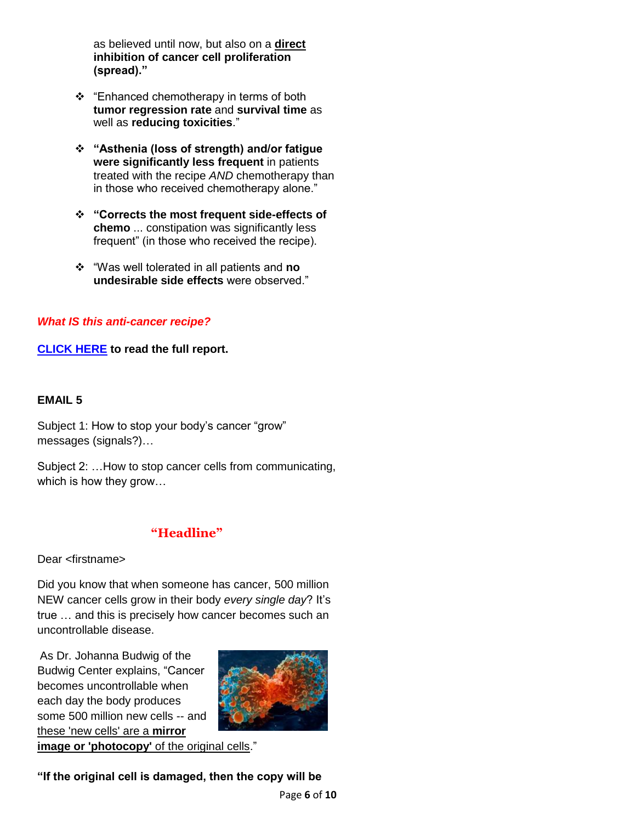as believed until now, but also on a **direct inhibition of cancer cell proliferation (spread)."**

- \* "Enhanced chemotherapy in terms of both **tumor regression rate** and **survival time** as well as **reducing toxicities**."
- **"Asthenia (loss of strength) and/or fatigue were significantly less frequent** in patients treated with the recipe *AND* chemotherapy than in those who received chemotherapy alone."
- **"Corrects the most frequent side-effects of chemo** ... constipation was significantly less frequent" (in those who received the recipe).
- "Was well tolerated in all patients and **no undesirable side effects** were observed."

## *What IS this anti-cancer recipe?*

**CLICK HERE to read the full report.**

#### **EMAIL 5**

Subject 1: How to stop your body's cancer "grow" messages (signals?)…

Subject 2: …How to stop cancer cells from communicating, which is how they grow…

## **"Headline"**

Dear <firstname>

Did you know that when someone has cancer, 500 million NEW cancer cells grow in their body *every single day*? It's true … and this is precisely how cancer becomes such an uncontrollable disease.

As Dr. Johanna Budwig of the Budwig Center explains, "Cancer becomes uncontrollable when each day the body produces some 500 million new cells -- and these 'new cells' are a **mirror**



**image or 'photocopy'** of the original cells."

## **"If the original cell is damaged, then the copy will be**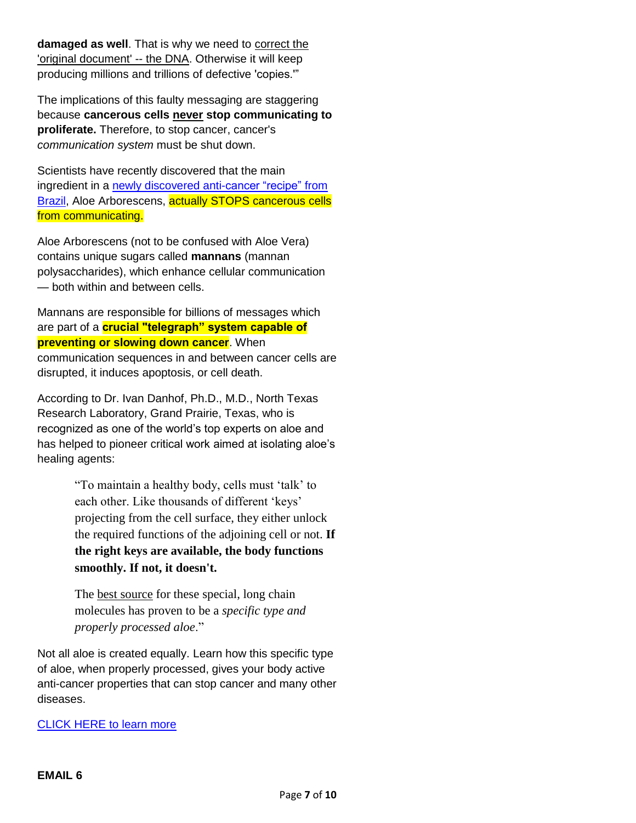**damaged as well**. That is why we need to correct the 'original document' -- the DNA. Otherwise it will keep producing millions and trillions of defective 'copies.'"

The implications of this faulty messaging are staggering because **cancerous cells never stop communicating to proliferate.** Therefore, to stop cancer, cancer's *communication system* must be shut down.

Scientists have recently discovered that the main ingredient in a newly discovered anti-cancer "recipe" from Brazil, Aloe Arborescens, actually STOPS cancerous cells from communicating.

Aloe Arborescens (not to be confused with Aloe Vera) contains unique sugars called **mannans** (mannan polysaccharides), which enhance cellular communication — both within and between cells.

Mannans are responsible for billions of messages which are part of a **crucial "telegraph" system capable of preventing or slowing down cancer**. When communication sequences in and between cancer cells are disrupted, it induces apoptosis, or cell death.

According to Dr. Ivan Danhof, Ph.D., M.D., North Texas Research Laboratory, Grand Prairie, Texas, who is recognized as one of the world's top experts on aloe and has helped to pioneer critical work aimed at isolating aloe's healing agents:

> "To maintain a healthy body, cells must 'talk' to each other. Like thousands of different 'keys' projecting from the cell surface, they either unlock the required functions of the adjoining cell or not. **If the right keys are available, the body functions smoothly. If not, it doesn't.**

The best source for these special, long chain molecules has proven to be a *specific type and properly processed aloe*."

Not all aloe is created equally. Learn how this specific type of aloe, when properly processed, gives your body active anti-cancer properties that can stop cancer and many other diseases.

#### CLICK HERE to learn more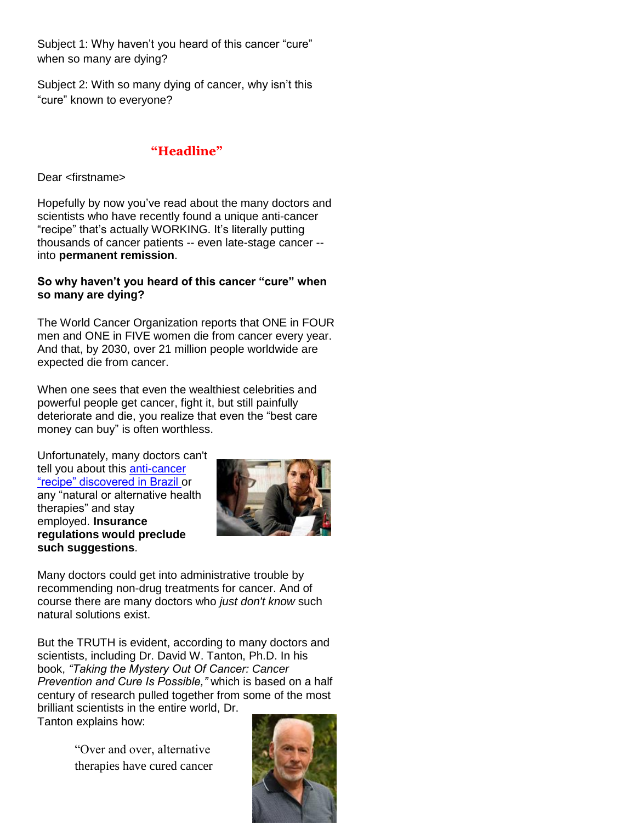Subject 1: Why haven't you heard of this cancer "cure" when so many are dying?

Subject 2: With so many dying of cancer, why isn't this "cure" known to everyone?

## **"Headline"**

Dear <firstname>

Hopefully by now you've read about the many doctors and scientists who have recently found a unique anti-cancer "recipe" that's actually WORKING. It's literally putting thousands of cancer patients -- even late-stage cancer - into **permanent remission**.

#### **So why haven't you heard of this cancer "cure" when so many are dying?**

The World Cancer Organization reports that ONE in FOUR men and ONE in FIVE women die from cancer every year. And that, by 2030, over 21 million people worldwide are expected die from cancer.

When one sees that even the wealthiest celebrities and powerful people get cancer, fight it, but still painfully deteriorate and die, you realize that even the "best care money can buy" is often worthless.

Unfortunately, many doctors can't tell you about this anti-cancer "recipe" discovered in Brazil or any "natural or alternative health therapies" and stay employed. **Insurance regulations would preclude such suggestions**.



Many doctors could get into administrative trouble by recommending non-drug treatments for cancer. And of course there are many doctors who *just don't know* such natural solutions exist.

But the TRUTH is evident, according to many doctors and scientists, including Dr. David W. Tanton, Ph.D. In his book, *"Taking the Mystery Out Of Cancer: Cancer Prevention and Cure Is Possible,"* which is based on a half century of research pulled together from some of the most brilliant scientists in the entire world, Dr.

Tanton explains how:

"Over and over, alternative therapies have cured cancer

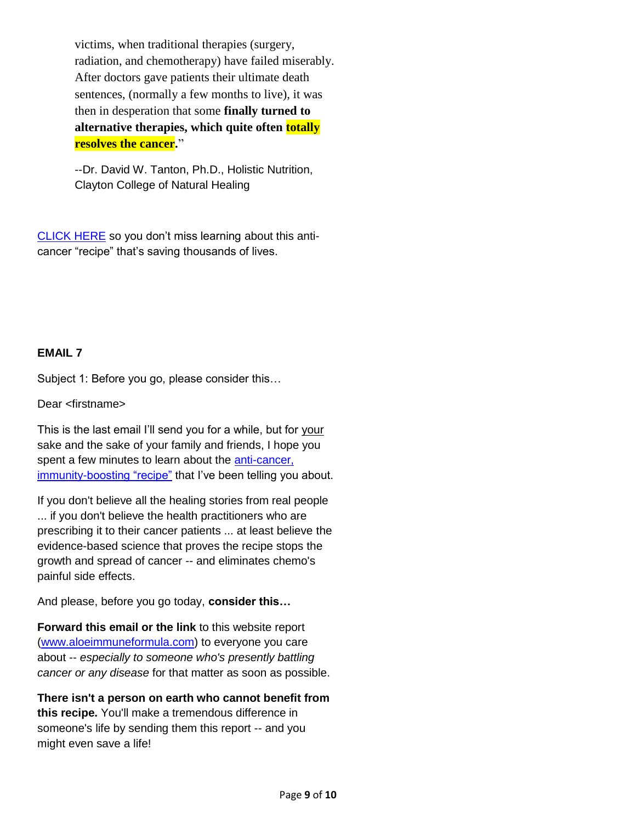victims, when traditional therapies (surgery, radiation, and chemotherapy) have failed miserably. After doctors gave patients their ultimate death sentences, (normally a few months to live), it was then in desperation that some **finally turned to alternative therapies, which quite often totally resolves the cancer.**"

--Dr. David W. Tanton, Ph.D., Holistic Nutrition, Clayton College of Natural Healing

CLICK HERE so you don't miss learning about this anticancer "recipe" that's saving thousands of lives.

## **EMAIL 7**

Subject 1: Before you go, please consider this…

Dear <firstname>

This is the last email I'll send you for a while, but for your sake and the sake of your family and friends, I hope you spent a few minutes to learn about the anti-cancer, immunity-boosting "recipe" that I've been telling you about.

If you don't believe all the healing stories from real people ... if you don't believe the health practitioners who are prescribing it to their cancer patients ... at least believe the evidence-based science that proves the recipe stops the growth and spread of cancer -- and eliminates chemo's painful side effects.

And please, before you go today, **consider this…**

**Forward this email or the link** to this website report [\(www.aloeimmuneformula.com\)](file:///C:/Users/Elin/Documents/The%20Write%20Effect/Clients/Aloe/Emails/www.aloeimmuneformula.com) to everyone you care about -- *especially to someone who's presently battling cancer or any disease* for that matter as soon as possible.

**There isn't a person on earth who cannot benefit from this recipe.** You'll make a tremendous difference in someone's life by sending them this report -- and you might even save a life!